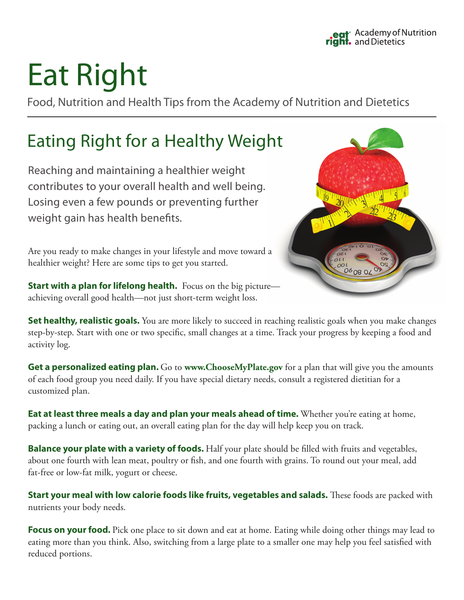# Eat Right

Food, Nutrition and Health Tips from the Academy of Nutrition and Dietetics

# Eating Right for a Healthy Weight

Reaching and maintaining a healthier weight contributes to your overall health and well being. Losing even a few pounds or preventing further weight gain has health benefits.

Are you ready to make changes in your lifestyle and move toward a healthier weight? Here are some tips to get you started.

**Start with a plan for lifelong health.** Focus on the big picture achieving overall good health—not just short-term weight loss.



**Set healthy, realistic goals.** You are more likely to succeed in reaching realistic goals when you make changes step-by-step. Start with one or two specific, small changes at a time. Track your progress by keeping a food and activity log.

**Get a personalized eating plan.** Go to **www.ChooseMyPlate.gov** for a plan that will give you the amounts of each food group you need daily. If you have special dietary needs, consult a registered dietitian for a customized plan.

**Eat at least three meals a day and plan your meals ahead of time.** Whether you're eating at home, packing a lunch or eating out, an overall eating plan for the day will help keep you on track.

**Balance your plate with a variety of foods.** Half your plate should be filled with fruits and vegetables, about one fourth with lean meat, poultry or fish, and one fourth with grains. To round out your meal, add fat-free or low-fat milk, yogurt or cheese.

**Start your meal with low calorie foods like fruits, vegetables and salads.** These foods are packed with nutrients your body needs.

**Focus on your food.** Pick one place to sit down and eat at home. Eating while doing other things may lead to eating more than you think. Also, switching from a large plate to a smaller one may help you feel satisfied with reduced portions.